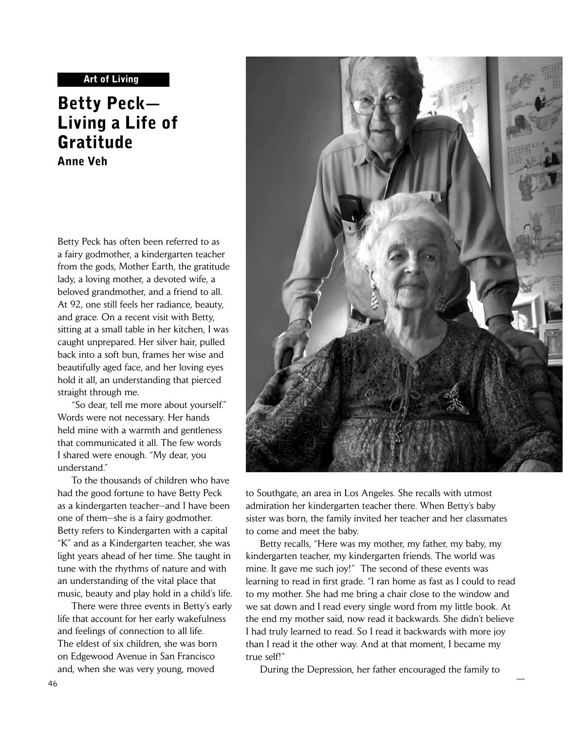## Art of Living

# Betty Peck— Living a Life of Gratitude

Anne Veh

Betty Peck has often been referred to as a fairy godmother, a kindergarten teacher from the gods, Mother Earth, the gratitude lady, a loving mother, a devoted wife, a beloved grandmother, and a friend to all. At 92, one still feels her radiance, beauty, and grace. On a recent visit with Betty, sitting at a small table in her kitchen, I was caught unprepared. Her silver hair, pulled back into a soft bun, frames her wise and beautifully aged face, and her loving eyes hold it all, an understanding that pierced straight through me.

 "So dear, tell me more about yourself." Words were not necessary. Her hands held mine with a warmth and gentleness that communicated it all. The few words I shared were enough. "My dear, you understand."

 To the thousands of children who have had the good fortune to have Betty Peck as a kindergarten teacher—and I have been one of them—she is a fairy godmother. Betty refers to Kindergarten with a capital "K" and as a Kindergarten teacher, she was light years ahead of her time. She taught in tune with the rhythms of nature and with an understanding of the vital place that music, beauty and play hold in a child's life.

 There were three events in Betty's early life that account for her early wakefulness and feelings of connection to all life. The eldest of six children, she was born on Edgewood Avenue in San Francisco and, when she was very young, moved



to Southgate, an area in Los Angeles. She recalls with utmost admiration her kindergarten teacher there. When Betty's baby sister was born, the family invited her teacher and her classmates to come and meet the baby.

 Betty recalls, "Here was my mother, my father, my baby, my kindergarten teacher, my kindergarten friends. The world was mine. It gave me such joy!" The second of these events was learning to read in first grade. "I ran home as fast as I could to read to my mother. She had me bring a chair close to the window and we sat down and I read every single word from my little book. At the end my mother said, now read it backwards. She didn't believe I had truly learned to read. So I read it backwards with more joy than I read it the other way. And at that moment, I became my true self!"

During the Depression, her father encouraged the family to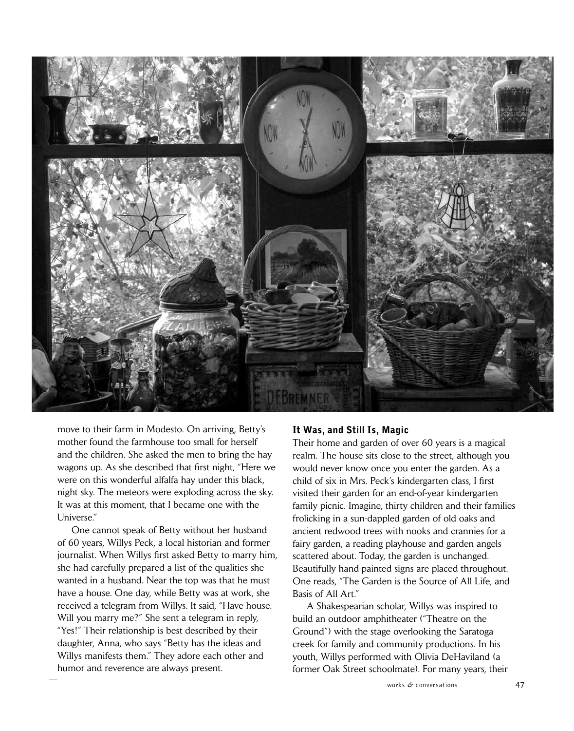

move to their farm in Modesto. On arriving, Betty's mother found the farmhouse too small for herself and the children. She asked the men to bring the hay wagons up. As she described that first night, "Here we were on this wonderful alfalfa hay under this black, night sky. The meteors were exploding across the sky. It was at this moment, that I became one with the Universe."

 One cannot speak of Betty without her husband of 60 years, Willys Peck, a local historian and former journalist. When Willys first asked Betty to marry him, she had carefully prepared a list of the qualities she wanted in a husband. Near the top was that he must have a house. One day, while Betty was at work, she received a telegram from Willys. It said, "Have house. Will you marry me?" She sent a telegram in reply, "Yes!" Their relationship is best described by their daughter, Anna, who says "Betty has the ideas and Willys manifests them." They adore each other and humor and reverence are always present.

### It Was, and Still Is, Magic

Their home and garden of over 60 years is a magical realm. The house sits close to the street, although you would never know once you enter the garden. As a child of six in Mrs. Peck's kindergarten class, I first visited their garden for an end-of-year kindergarten family picnic. Imagine, thirty children and their families frolicking in a sun-dappled garden of old oaks and ancient redwood trees with nooks and crannies for a fairy garden, a reading playhouse and garden angels scattered about. Today, the garden is unchanged. Beautifully hand-painted signs are placed throughout. One reads, "The Garden is the Source of All Life, and Basis of All Art."

 A Shakespearian scholar, Willys was inspired to build an outdoor amphitheater ("Theatre on the Ground") with the stage overlooking the Saratoga creek for family and community productions. In his youth, Willys performed with Olivia DeHaviland (a former Oak Street schoolmate). For many years, their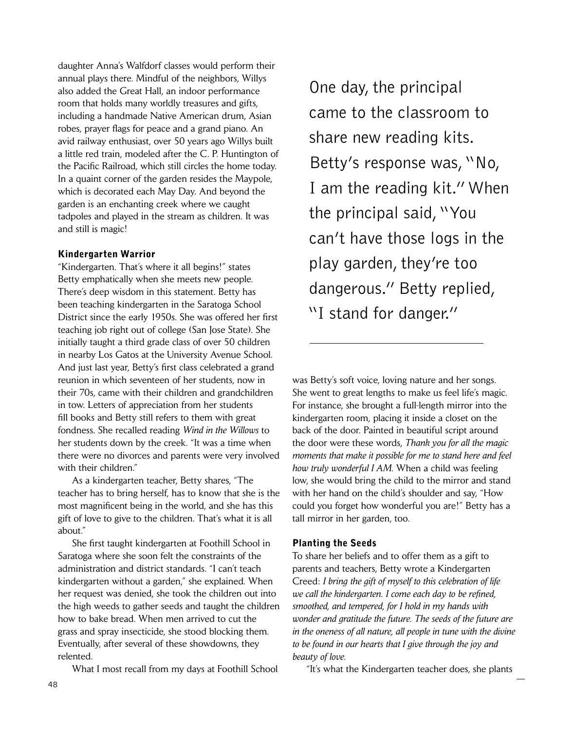daughter Anna's Walfdorf classes would perform their annual plays there. Mindful of the neighbors, Willys also added the Great Hall, an indoor performance room that holds many worldly treasures and gifts, including a handmade Native American drum, Asian robes, prayer flags for peace and a grand piano. An avid railway enthusiast, over 50 years ago Willys built a little red train, modeled after the C. P. Huntington of the Pacific Railroad, which still circles the home today. In a quaint corner of the garden resides the Maypole, which is decorated each May Day. And beyond the garden is an enchanting creek where we caught tadpoles and played in the stream as children. It was and still is magic!

## Kindergarten Warrior

"Kindergarten. That's where it all begins!" states Betty emphatically when she meets new people. There's deep wisdom in this statement. Betty has been teaching kindergarten in the Saratoga School District since the early 1950s. She was offered her first teaching job right out of college (San Jose State). She initially taught a third grade class of over 50 children in nearby Los Gatos at the University Avenue School. And just last year, Betty's first class celebrated a grand reunion in which seventeen of her students, now in their 70s, came with their children and grandchildren in tow. Letters of appreciation from her students fill books and Betty still refers to them with great fondness. She recalled reading *Wind in the Willows* to her students down by the creek. "It was a time when there were no divorces and parents were very involved with their children."

 As a kindergarten teacher, Betty shares, "The teacher has to bring herself, has to know that she is the most magnificent being in the world, and she has this gift of love to give to the children. That's what it is all about."

 She first taught kindergarten at Foothill School in Saratoga where she soon felt the constraints of the administration and district standards. "I can't teach kindergarten without a garden," she explained. When her request was denied, she took the children out into the high weeds to gather seeds and taught the children how to bake bread. When men arrived to cut the grass and spray insecticide, she stood blocking them. Eventually, after several of these showdowns, they relented.

What I most recall from my days at Foothill School

 One day, the principal came to the classroom to share new reading kits. Betty's response was, "No, I am the reading kit." When the principal said, "You can't have those logs in the play garden, they're too dangerous." Betty replied, "I stand for danger."

was Betty's soft voice, loving nature and her songs. She went to great lengths to make us feel life's magic. For instance, she brought a full-length mirror into the kindergarten room, placing it inside a closet on the back of the door. Painted in beautiful script around the door were these words, *Thank you for all the magic moments that make it possible for me to stand here and feel how truly wonderful I AM*. When a child was feeling low, she would bring the child to the mirror and stand with her hand on the child's shoulder and say, "How could you forget how wonderful you are!" Betty has a tall mirror in her garden, too.

## Planting the Seeds

To share her beliefs and to offer them as a gift to parents and teachers, Betty wrote a Kindergarten Creed: *I bring the gift of myself to this celebration of life we call the kindergarten. I come each day to be refined, smoothed, and tempered, for I hold in my hands with wonder and gratitude the future. The seeds of the future are in the oneness of all nature, all people in tune with the divine to be found in our hearts that I give through the joy and beauty of love.*

"It's what the Kindergarten teacher does, she plants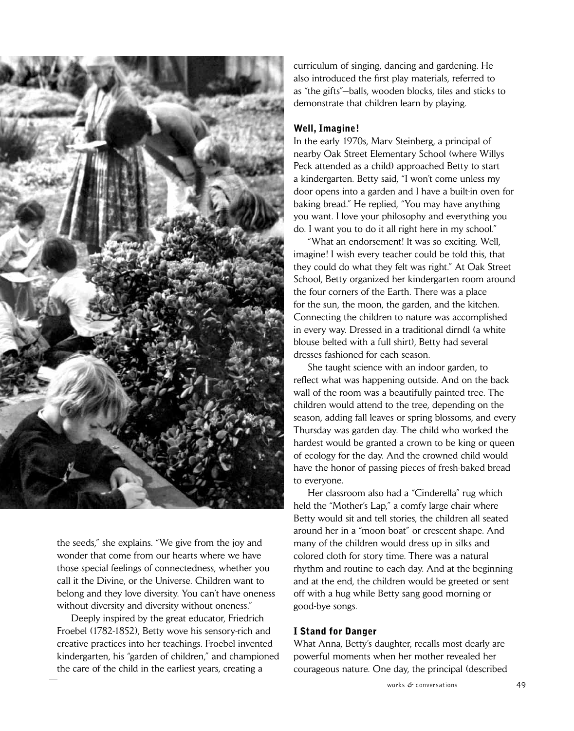

the seeds," she explains. "We give from the joy and wonder that come from our hearts where we have those special feelings of connectedness, whether you call it the Divine, or the Universe. Children want to belong and they love diversity. You can't have oneness without diversity and diversity without oneness."

 Deeply inspired by the great educator, Friedrich Froebel (1782-1852), Betty wove his sensory-rich and creative practices into her teachings. Froebel invented kindergarten, his "garden of children," and championed the care of the child in the earliest years, creating a

curriculum of singing, dancing and gardening. He also introduced the first play materials, referred to as "the gifts"—balls, wooden blocks, tiles and sticks to demonstrate that children learn by playing.

## Well, Imagine!

In the early 1970s, Marv Steinberg, a principal of nearby Oak Street Elementary School (where Willys Peck attended as a child) approached Betty to start a kindergarten. Betty said, "I won't come unless my door opens into a garden and I have a built-in oven for baking bread." He replied, "You may have anything you want. I love your philosophy and everything you do. I want you to do it all right here in my school."

 "What an endorsement! It was so exciting. Well, imagine! I wish every teacher could be told this, that they could do what they felt was right." At Oak Street School, Betty organized her kindergarten room around the four corners of the Earth. There was a place for the sun, the moon, the garden, and the kitchen. Connecting the children to nature was accomplished in every way. Dressed in a traditional dirndl (a white blouse belted with a full shirt), Betty had several dresses fashioned for each season.

 She taught science with an indoor garden, to reflect what was happening outside. And on the back wall of the room was a beautifully painted tree. The children would attend to the tree, depending on the season, adding fall leaves or spring blossoms, and every Thursday was garden day. The child who worked the hardest would be granted a crown to be king or queen of ecology for the day. And the crowned child would have the honor of passing pieces of fresh-baked bread to everyone.

 Her classroom also had a "Cinderella" rug which held the "Mother's Lap," a comfy large chair where Betty would sit and tell stories, the children all seated around her in a "moon boat" or crescent shape. And many of the children would dress up in silks and colored cloth for story time. There was a natural rhythm and routine to each day. And at the beginning and at the end, the children would be greeted or sent off with a hug while Betty sang good morning or good-bye songs.

#### I Stand for Danger

What Anna, Betty's daughter, recalls most dearly are powerful moments when her mother revealed her courageous nature. One day, the principal (described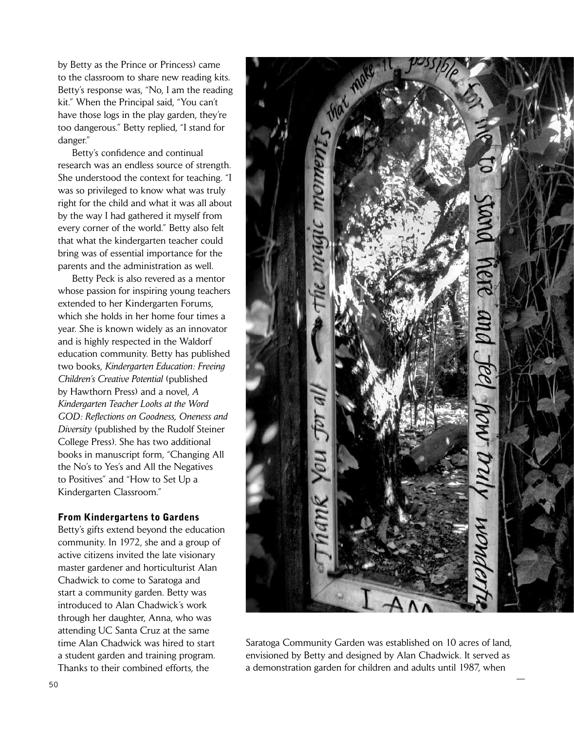by Betty as the Prince or Princess) came to the classroom to share new reading kits. Betty's response was, "No, I am the reading kit." When the Principal said, "You can't have those logs in the play garden, they're too dangerous." Betty replied, "I stand for danger."

 Betty's confidence and continual research was an endless source of strength. She understood the context for teaching. "I was so privileged to know what was truly right for the child and what it was all about by the way I had gathered it myself from every corner of the world." Betty also felt that what the kindergarten teacher could bring was of essential importance for the parents and the administration as well.

 Betty Peck is also revered as a mentor whose passion for inspiring young teachers extended to her Kindergarten Forums, which she holds in her home four times a year. She is known widely as an innovator and is highly respected in the Waldorf education community. Betty has published two books, *Kindergarten Education: Freeing Children's Creative Potential* (published by Hawthorn Press) and a novel, *A Kindergarten Teacher Looks at the Word GOD: Reflections on Goodness, Oneness and Diversity* (published by the Rudolf Steiner College Press). She has two additional books in manuscript form, "Changing All the No's to Yes's and All the Negatives to Positives" and "How to Set Up a Kindergarten Classroom."

## From Kindergartens to Gardens

Betty's gifts extend beyond the education community. In 1972, she and a group of active citizens invited the late visionary master gardener and horticulturist Alan Chadwick to come to Saratoga and start a community garden. Betty was introduced to Alan Chadwick's work through her daughter, Anna, who was attending UC Santa Cruz at the same time Alan Chadwick was hired to start a student garden and training program. Thanks to their combined efforts, the



Saratoga Community Garden was established on 10 acres of land, envisioned by Betty and designed by Alan Chadwick. It served as a demonstration garden for children and adults until 1987, when